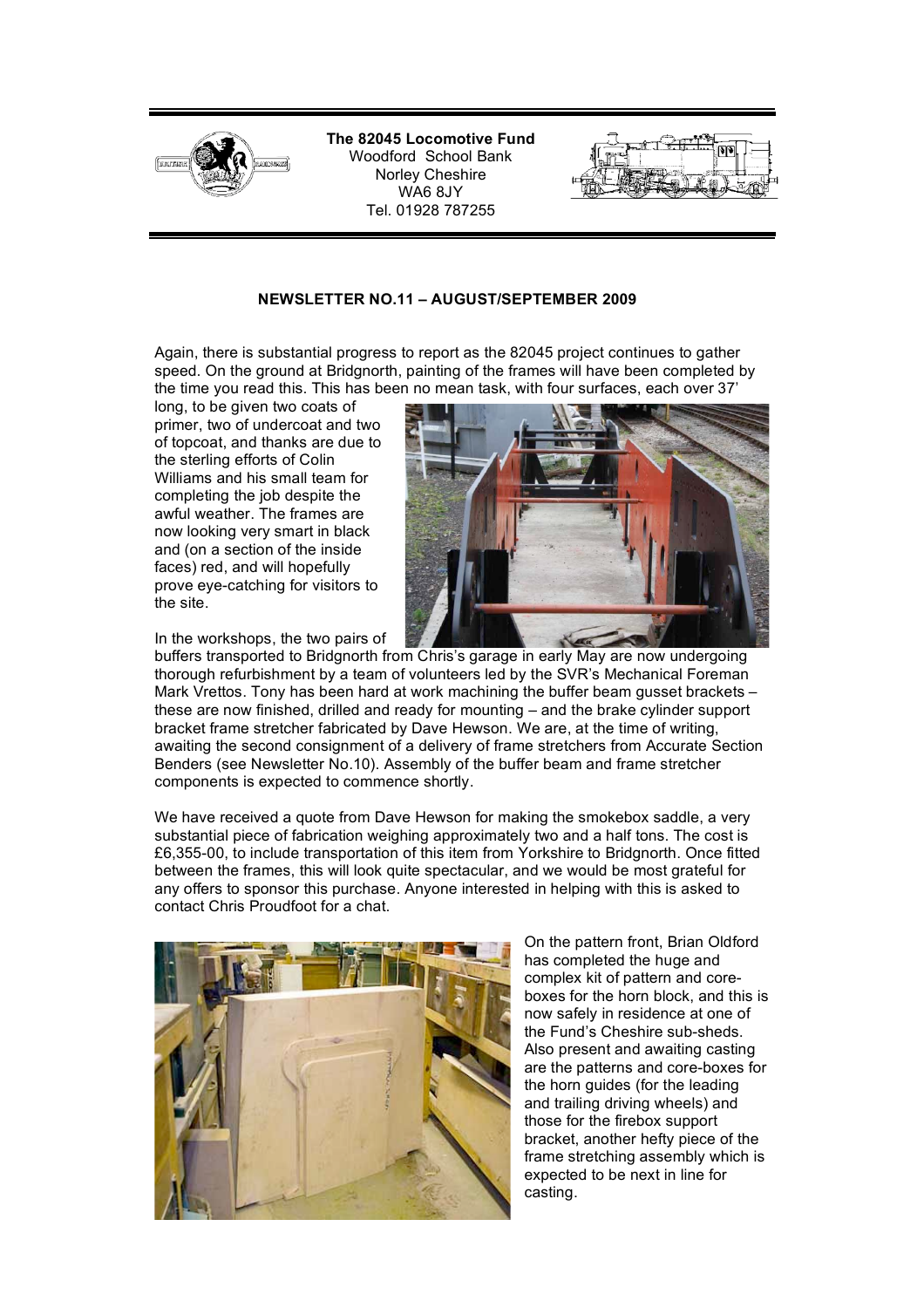

**The 82045 Locomotive Fund** Woodford School Bank Norley Cheshire WA6 8JY Tel. 01928 787255

## **NEWSLETTER NO.11 – AUGUST/SEPTEMBER 2009**

Again, there is substantial progress to report as the 82045 project continues to gather speed. On the ground at Bridgnorth, painting of the frames will have been completed by the time you read this. This has been no mean task, with four surfaces, each over 37'

long, to be given two coats of primer, two of undercoat and two of topcoat, and thanks are due to the sterling efforts of Colin Williams and his small team for completing the job despite the awful weather. The frames are now looking very smart in black and (on a section of the inside faces) red, and will hopefully prove eye-catching for visitors to the site.



In the workshops, the two pairs of

buffers transported to Bridgnorth from Chris's garage in early May are now undergoing thorough refurbishment by a team of volunteers led by the SVR's Mechanical Foreman Mark Vrettos. Tony has been hard at work machining the buffer beam gusset brackets – these are now finished, drilled and ready for mounting – and the brake cylinder support bracket frame stretcher fabricated by Dave Hewson. We are, at the time of writing, awaiting the second consignment of a delivery of frame stretchers from Accurate Section Benders (see Newsletter No.10). Assembly of the buffer beam and frame stretcher components is expected to commence shortly.

We have received a quote from Dave Hewson for making the smokebox saddle, a very substantial piece of fabrication weighing approximately two and a half tons. The cost is £6,355-00, to include transportation of this item from Yorkshire to Bridgnorth. Once fitted between the frames, this will look quite spectacular, and we would be most grateful for any offers to sponsor this purchase. Anyone interested in helping with this is asked to contact Chris Proudfoot for a chat.



On the pattern front, Brian Oldford has completed the huge and complex kit of pattern and coreboxes for the horn block, and this is now safely in residence at one of the Fund's Cheshire sub-sheds. Also present and awaiting casting are the patterns and core-boxes for the horn guides (for the leading and trailing driving wheels) and those for the firebox support bracket, another hefty piece of the frame stretching assembly which is expected to be next in line for casting.